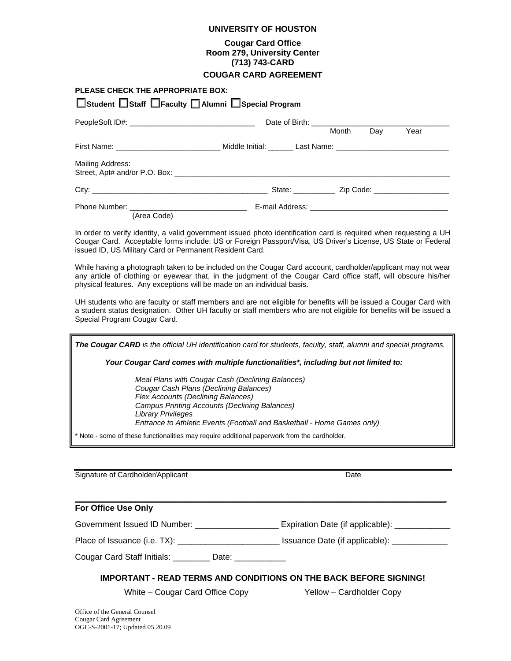### **UNIVERSITY OF HOUSTON**

## **Cougar Card Office Room 279, University Center (713) 743-CARD**

## **COUGAR CARD AGREEMENT**

| PLEASE CHECK THE APPROPRIATE BOX:<br>□ Student □ Staff □ Faculty □ Alumni □ Special Program                    |  |       |     |      |
|----------------------------------------------------------------------------------------------------------------|--|-------|-----|------|
|                                                                                                                |  | Month | Day | Year |
| First Name: ___________________________________Middle Initial: ________Last Name: ____________________________ |  |       |     |      |
| Mailing Address:                                                                                               |  |       |     |      |
|                                                                                                                |  |       |     |      |
| (Area Code)                                                                                                    |  |       |     |      |

In order to verify identity, a valid government issued photo identification card is required when requesting a UH Cougar Card. Acceptable forms include: US or Foreign Passport/Visa, US Driver's License, US State or Federal issued ID, US Military Card or Permanent Resident Card.

While having a photograph taken to be included on the Cougar Card account, cardholder/applicant may not wear any article of clothing or eyewear that, in the judgment of the Cougar Card office staff, will obscure his/her physical features. Any exceptions will be made on an individual basis.

UH students who are faculty or staff members and are not eligible for benefits will be issued a Cougar Card with a student status designation. Other UH faculty or staff members who are not eligible for benefits will be issued a Special Program Cougar Card.

*The Cougar CARD is the official UH identification card for students, faculty, staff, alumni and special programs. Your Cougar Card comes with multiple functionalities\*, including but not limited to: Meal Plans with Cougar Cash (Declining Balances) Cougar Cash Plans (Declining Balances) Flex Accounts (Declining Balances) Campus Printing Accounts (Declining Balances) Library Privileges Entrance to Athletic Events (Football and Basketball - Home Games only)* \* Note - some of these functionalities may require additional paperwork from the cardholder.

Signature of Cardholder/Applicant Date

## **For Office Use Only**

Government Issued ID Number: \_\_\_\_\_\_\_\_\_\_\_\_\_\_\_\_\_\_\_\_\_\_ Expiration Date (if applicable): \_\_\_\_\_\_\_\_\_\_\_\_\_

Place of Issuance (i.e. TX): \_\_\_\_\_\_\_\_\_\_\_\_\_\_\_\_\_\_\_\_\_\_ Issuance Date (if applicable): \_\_\_\_\_\_\_\_\_\_\_\_

 $\mathcal{L}_\mathcal{L} = \mathcal{L}_\mathcal{L} = \mathcal{L}_\mathcal{L} = \mathcal{L}_\mathcal{L} = \mathcal{L}_\mathcal{L} = \mathcal{L}_\mathcal{L} = \mathcal{L}_\mathcal{L} = \mathcal{L}_\mathcal{L} = \mathcal{L}_\mathcal{L} = \mathcal{L}_\mathcal{L} = \mathcal{L}_\mathcal{L} = \mathcal{L}_\mathcal{L} = \mathcal{L}_\mathcal{L} = \mathcal{L}_\mathcal{L} = \mathcal{L}_\mathcal{L} = \mathcal{L}_\mathcal{L} = \mathcal{L}_\mathcal{L}$ 

Cougar Card Staff Initials: **Example 20 Date:** Date:

## **IMPORTANT - READ TERMS AND CONDITIONS ON THE BACK BEFORE SIGNING!**

White – Cougar Card Office Copy Yellow – Cardholder Copy